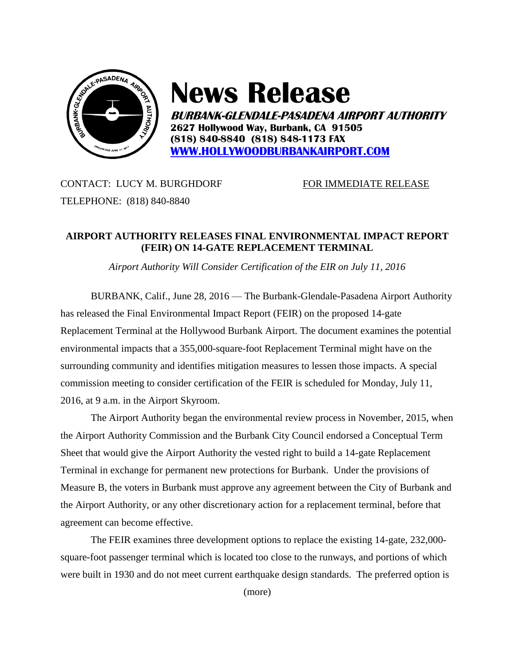

## **News Release**

**BURBANK-GLENDALE-PASADENA AIRPORT AUTHORITY 2627 Hollywood Way, Burbank, CA 91505 (818) 840-8840 (818) 848-1173 FAX [WWW.HOLLYWOODBURBANKAIRPORT.COM](http://www.hollywoodburbankairport.com/)**

CONTACT: LUCY M. BURGHDORF FOR IMMEDIATE RELEASE TELEPHONE: (818) 840-8840

## **AIRPORT AUTHORITY RELEASES FINAL ENVIRONMENTAL IMPACT REPORT (FEIR) ON 14-GATE REPLACEMENT TERMINAL**

*Airport Authority Will Consider Certification of the EIR on July 11, 2016*

BURBANK, Calif., June 28, 2016 — The Burbank-Glendale-Pasadena Airport Authority has released the Final Environmental Impact Report (FEIR) on the proposed 14-gate Replacement Terminal at the Hollywood Burbank Airport. The document examines the potential environmental impacts that a 355,000-square-foot Replacement Terminal might have on the surrounding community and identifies mitigation measures to lessen those impacts. A special commission meeting to consider certification of the FEIR is scheduled for Monday, July 11, 2016, at 9 a.m. in the Airport Skyroom.

The Airport Authority began the environmental review process in November, 2015, when the Airport Authority Commission and the Burbank City Council endorsed a Conceptual Term Sheet that would give the Airport Authority the vested right to build a 14-gate Replacement Terminal in exchange for permanent new protections for Burbank. Under the provisions of Measure B, the voters in Burbank must approve any agreement between the City of Burbank and the Airport Authority, or any other discretionary action for a replacement terminal, before that agreement can become effective.

The FEIR examines three development options to replace the existing 14-gate, 232,000 square-foot passenger terminal which is located too close to the runways, and portions of which were built in 1930 and do not meet current earthquake design standards. The preferred option is

(more)